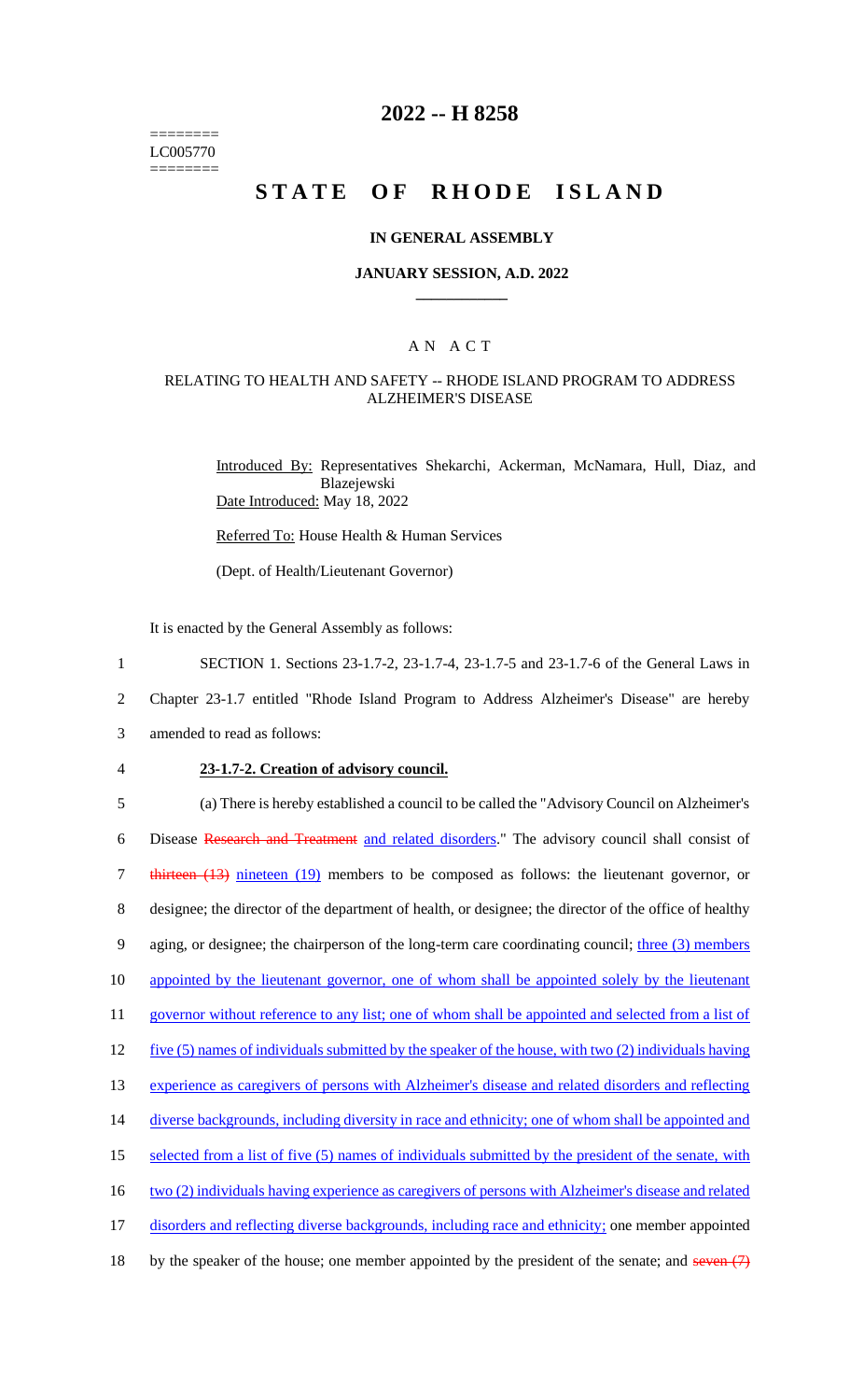======== LC005770 ========

# **2022 -- H 8258**

# **STATE OF RHODE ISLAND**

#### **IN GENERAL ASSEMBLY**

#### **JANUARY SESSION, A.D. 2022 \_\_\_\_\_\_\_\_\_\_\_\_**

### A N A C T

### RELATING TO HEALTH AND SAFETY -- RHODE ISLAND PROGRAM TO ADDRESS ALZHEIMER'S DISEASE

Introduced By: Representatives Shekarchi, Ackerman, McNamara, Hull, Diaz, and Blazejewski Date Introduced: May 18, 2022

Referred To: House Health & Human Services

(Dept. of Health/Lieutenant Governor)

It is enacted by the General Assembly as follows:

- 1 SECTION 1. Sections 23-1.7-2, 23-1.7-4, 23-1.7-5 and 23-1.7-6 of the General Laws in
- 2 Chapter 23-1.7 entitled "Rhode Island Program to Address Alzheimer's Disease" are hereby
- 3 amended to read as follows:
- 

#### 4 **23-1.7-2. Creation of advisory council.**

5 (a) There is hereby established a council to be called the "Advisory Council on Alzheimer's 6 Disease Research and Treatment and related disorders." The advisory council shall consist of 7 thirteen (13) nineteen (19) members to be composed as follows: the lieutenant governor, or 8 designee; the director of the department of health, or designee; the director of the office of healthy 9 aging, or designee; the chairperson of the long-term care coordinating council; three (3) members 10 appointed by the lieutenant governor, one of whom shall be appointed solely by the lieutenant 11 governor without reference to any list; one of whom shall be appointed and selected from a list of 12 five (5) names of individuals submitted by the speaker of the house, with two (2) individuals having 13 experience as caregivers of persons with Alzheimer's disease and related disorders and reflecting 14 diverse backgrounds, including diversity in race and ethnicity; one of whom shall be appointed and 15 selected from a list of five (5) names of individuals submitted by the president of the senate, with 16 two (2) individuals having experience as caregivers of persons with Alzheimer's disease and related 17 disorders and reflecting diverse backgrounds, including race and ethnicity; one member appointed 18 by the speaker of the house; one member appointed by the president of the senate; and seven  $(7)$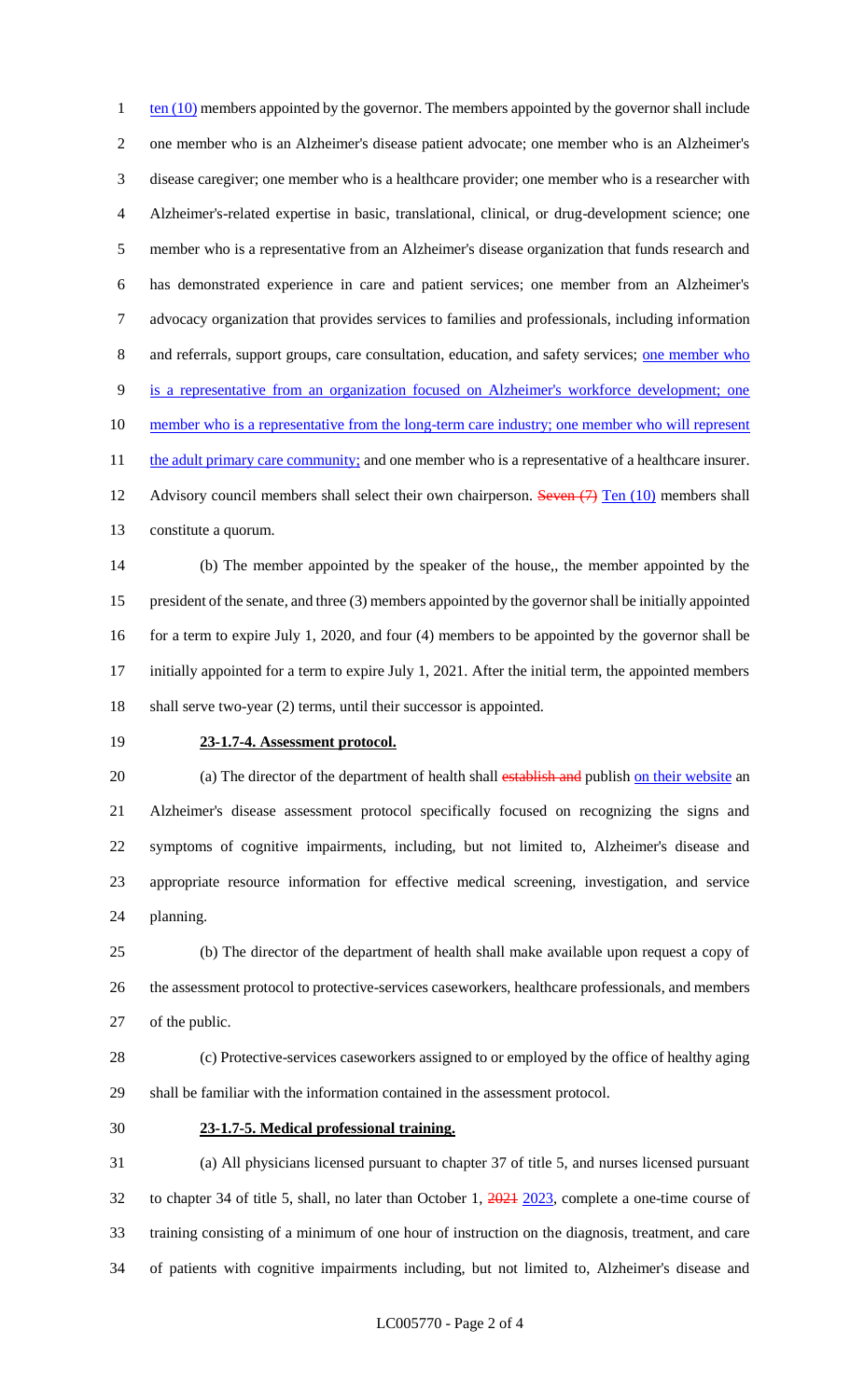ten  $(10)$  members appointed by the governor. The members appointed by the governor shall include one member who is an Alzheimer's disease patient advocate; one member who is an Alzheimer's disease caregiver; one member who is a healthcare provider; one member who is a researcher with Alzheimer's-related expertise in basic, translational, clinical, or drug-development science; one member who is a representative from an Alzheimer's disease organization that funds research and has demonstrated experience in care and patient services; one member from an Alzheimer's advocacy organization that provides services to families and professionals, including information and referrals, support groups, care consultation, education, and safety services; one member who is a representative from an organization focused on Alzheimer's workforce development; one 10 member who is a representative from the long-term care industry; one member who will represent 11 the adult primary care community; and one member who is a representative of a healthcare insurer. 12 Advisory council members shall select their own chairperson. Seven (7) Ten (10) members shall constitute a quorum.

 (b) The member appointed by the speaker of the house,, the member appointed by the president of the senate, and three (3) members appointed by the governor shall be initially appointed 16 for a term to expire July 1, 2020, and four (4) members to be appointed by the governor shall be initially appointed for a term to expire July 1, 2021. After the initial term, the appointed members shall serve two-year (2) terms, until their successor is appointed.

### **23-1.7-4. Assessment protocol.**

20 (a) The director of the department of health shall establish and publish on their website an Alzheimer's disease assessment protocol specifically focused on recognizing the signs and symptoms of cognitive impairments, including, but not limited to, Alzheimer's disease and appropriate resource information for effective medical screening, investigation, and service planning.

 (b) The director of the department of health shall make available upon request a copy of the assessment protocol to protective-services caseworkers, healthcare professionals, and members 27 of the public.

 (c) Protective-services caseworkers assigned to or employed by the office of healthy aging shall be familiar with the information contained in the assessment protocol.

#### **23-1.7-5. Medical professional training.**

 (a) All physicians licensed pursuant to chapter 37 of title 5, and nurses licensed pursuant to chapter 34 of title 5, shall, no later than October 1, 2021 2023, complete a one-time course of training consisting of a minimum of one hour of instruction on the diagnosis, treatment, and care of patients with cognitive impairments including, but not limited to, Alzheimer's disease and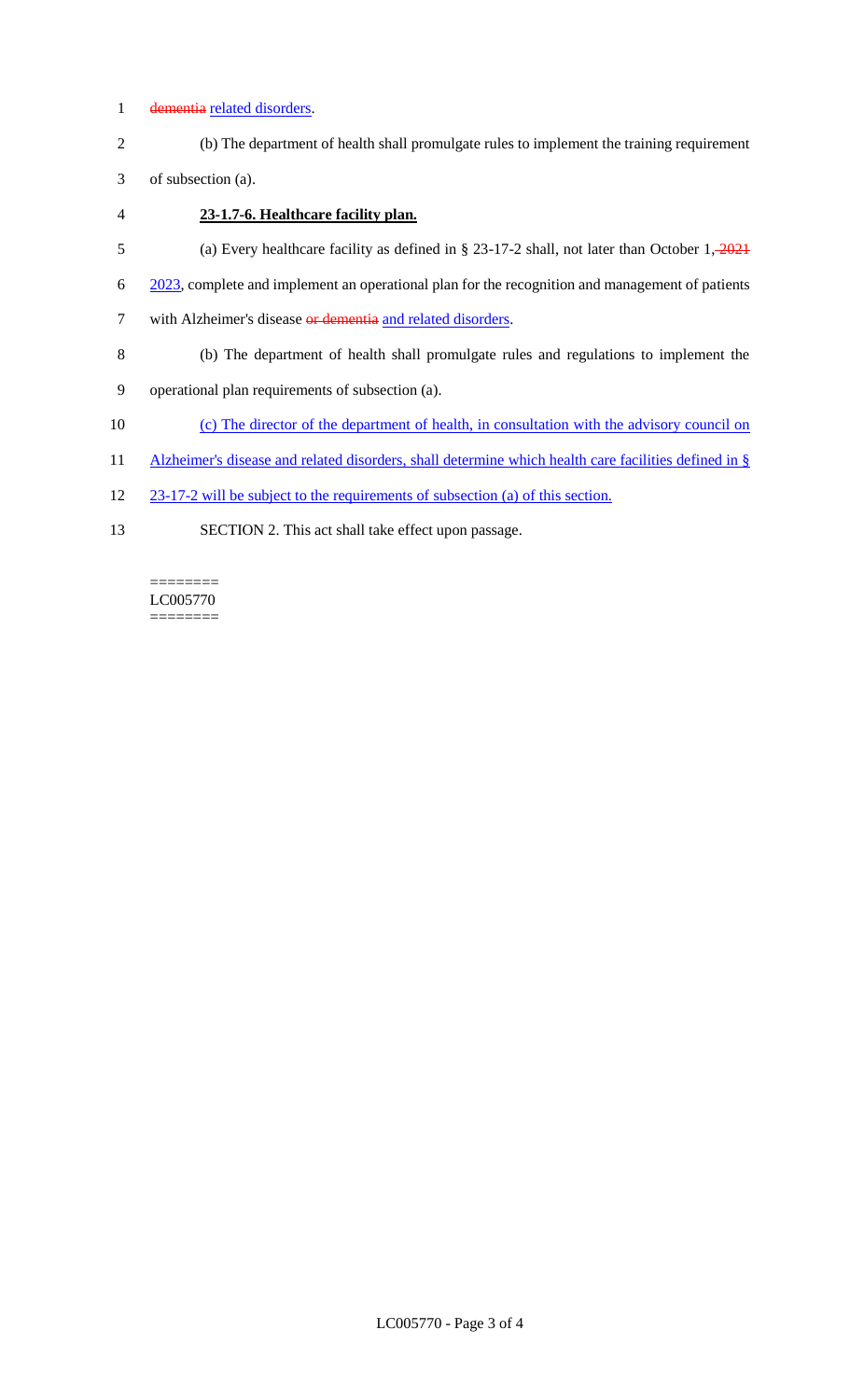### 1 dementia related disorders.

2 (b) The department of health shall promulgate rules to implement the training requirement

3 of subsection (a).

- 4 **23-1.7-6. Healthcare facility plan.**
- 5 (a) Every healthcare facility as defined in § 23-17-2 shall, not later than October 1, 2021
- 6 2023, complete and implement an operational plan for the recognition and management of patients
- 7 with Alzheimer's disease or dementia and related disorders.
- 8 (b) The department of health shall promulgate rules and regulations to implement the
- 9 operational plan requirements of subsection (a).
- 10 (c) The director of the department of health, in consultation with the advisory council on
- 11 Alzheimer's disease and related disorders, shall determine which health care facilities defined in §
- 12 23-17-2 will be subject to the requirements of subsection (a) of this section.
- 13 SECTION 2. This act shall take effect upon passage.

LC005770 ========

 $=$